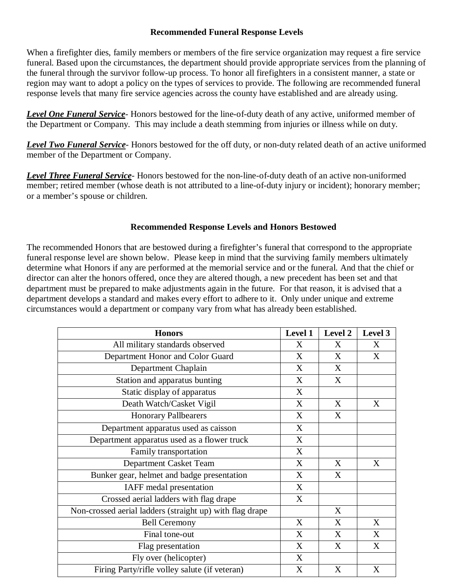## **Recommended Funeral Response Levels**

When a firefighter dies, family members or members of the fire service organization may request a fire service funeral. Based upon the circumstances, the department should provide appropriate services from the planning of the funeral through the survivor follow-up process. To honor all firefighters in a consistent manner, a state or region may want to adopt a policy on the types of services to provide. The following are recommended funeral response levels that many fire service agencies across the county have established and are already using.

*Level One Funeral Service*- Honors bestowed for the line-of-duty death of any active, uniformed member of the Department or Company. This may include a death stemming from injuries or illness while on duty.

*Level Two Funeral Service*- Honors bestowed for the off duty, or non-duty related death of an active uniformed member of the Department or Company.

*Level Three Funeral Service*- Honors bestowed for the non-line-of-duty death of an active non-uniformed member; retired member (whose death is not attributed to a line-of-duty injury or incident); honorary member; or a member's spouse or children.

## **Recommended Response Levels and Honors Bestowed**

The recommended Honors that are bestowed during a firefighter's funeral that correspond to the appropriate funeral response level are shown below. Please keep in mind that the surviving family members ultimately determine what Honors if any are performed at the memorial service and or the funeral. And that the chief or director can alter the honors offered, once they are altered though, a new precedent has been set and that department must be prepared to make adjustments again in the future. For that reason, it is advised that a department develops a standard and makes every effort to adhere to it. Only under unique and extreme circumstances would a department or company vary from what has already been established.

| <b>Honors</b>                                            | Level 1 | Level 2 | Level 3 |
|----------------------------------------------------------|---------|---------|---------|
| All military standards observed                          | X       | X       | X       |
| Department Honor and Color Guard                         | X       | X       | X       |
| Department Chaplain                                      | X       | X       |         |
| Station and apparatus bunting                            | X       | X       |         |
| Static display of apparatus                              | X       |         |         |
| Death Watch/Casket Vigil                                 | X       | X       | X       |
| <b>Honorary Pallbearers</b>                              | X       | X       |         |
| Department apparatus used as caisson                     | X       |         |         |
| Department apparatus used as a flower truck              | X       |         |         |
| Family transportation                                    | X       |         |         |
| Department Casket Team                                   | X       | X       | X       |
| Bunker gear, helmet and badge presentation               | X       | X       |         |
| IAFF medal presentation                                  | X       |         |         |
| Crossed aerial ladders with flag drape                   | X       |         |         |
| Non-crossed aerial ladders (straight up) with flag drape |         | X       |         |
| <b>Bell Ceremony</b>                                     | X       | X       | X       |
| Final tone-out                                           | X       | X       | X       |
| Flag presentation                                        | X       | X       | X       |
| Fly over (helicopter)                                    | X       |         |         |
| Firing Party/rifle volley salute (if veteran)            | X       | X       | X       |